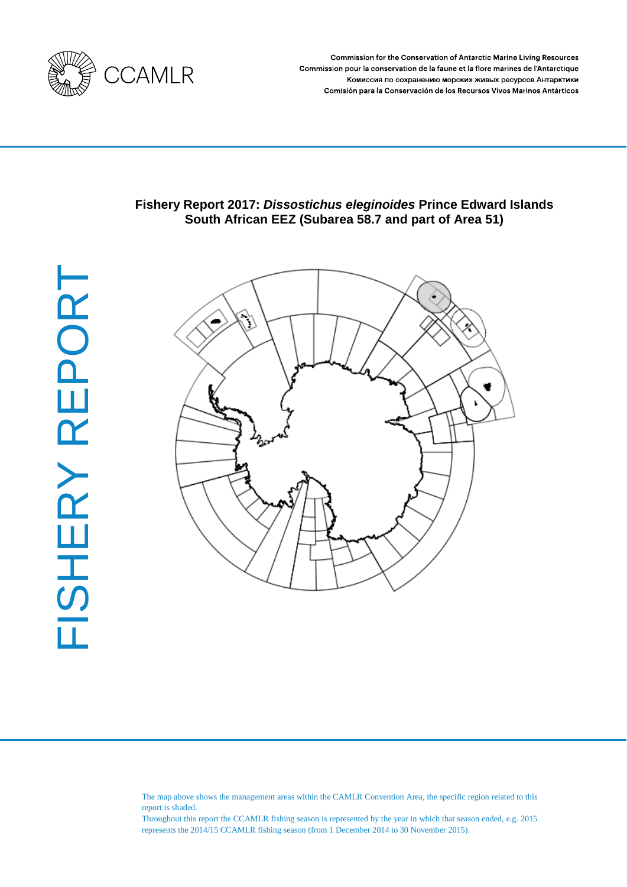

Commission for the Conservation of Antarctic Marine Living Resources Commission pour la conservation de la faune et la flore marines de l'Antarctique Комиссия по сохранению морских живых ресурсов Антарктики Comisión para la Conservación de los Recursos Vivos Marinos Antárticos

# **Fishery Report 2017:** *Dissostichus eleginoides* **Prince Edward Islands South African EEZ (Subarea 58.7 and part of Area 51)**



The map above shows the management areas within the CAMLR Convention Area, the specific region related to this report is shaded.

Throughout this report the CCAMLR fishing season is represented by the year in which that season ended, e.g. 2015 represents the 2014/15 CCAMLR fishing season (from 1 December 2014 to 30 November 2015).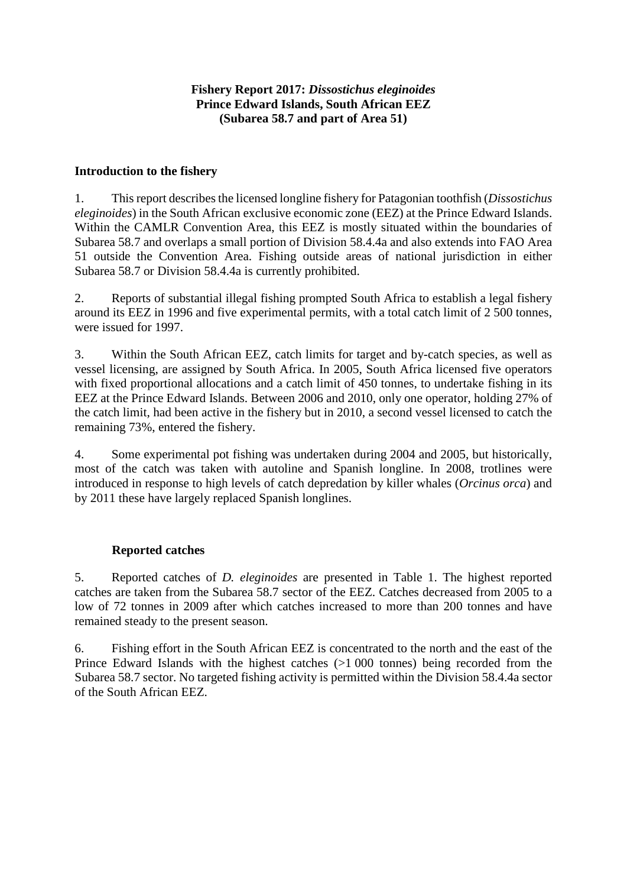# **Fishery Report 2017:** *Dissostichus eleginoides* **Prince Edward Islands, South African EEZ (Subarea 58.7 and part of Area 51)**

## **Introduction to the fishery**

1. This report describes the licensed longline fishery for Patagonian toothfish (*Dissostichus eleginoides*) in the South African exclusive economic zone (EEZ) at the Prince Edward Islands. Within the CAMLR Convention Area, this EEZ is mostly situated within the boundaries of Subarea 58.7 and overlaps a small portion of Division 58.4.4a and also extends into FAO Area 51 outside the Convention Area. Fishing outside areas of national jurisdiction in either Subarea 58.7 or Division 58.4.4a is currently prohibited.

2. Reports of substantial illegal fishing prompted South Africa to establish a legal fishery around its EEZ in 1996 and five experimental permits, with a total catch limit of 2 500 tonnes, were issued for 1997.

3. Within the South African EEZ, catch limits for target and by-catch species, as well as vessel licensing, are assigned by South Africa. In 2005, South Africa licensed five operators with fixed proportional allocations and a catch limit of 450 tonnes, to undertake fishing in its EEZ at the Prince Edward Islands. Between 2006 and 2010, only one operator, holding 27% of the catch limit, had been active in the fishery but in 2010, a second vessel licensed to catch the remaining 73%, entered the fishery.

4. Some experimental pot fishing was undertaken during 2004 and 2005, but historically, most of the catch was taken with autoline and Spanish longline. In 2008, trotlines were introduced in response to high levels of catch depredation by killer whales (*Orcinus orca*) and by 2011 these have largely replaced Spanish longlines.

### **Reported catches**

5. Reported catches of *D. eleginoides* are presented in Table 1. The highest reported catches are taken from the Subarea 58.7 sector of the EEZ. Catches decreased from 2005 to a low of 72 tonnes in 2009 after which catches increased to more than 200 tonnes and have remained steady to the present season.

6. Fishing effort in the South African EEZ is concentrated to the north and the east of the Prince Edward Islands with the highest catches (>1 000 tonnes) being recorded from the Subarea 58.7 sector. No targeted fishing activity is permitted within the Division 58.4.4a sector of the South African EEZ.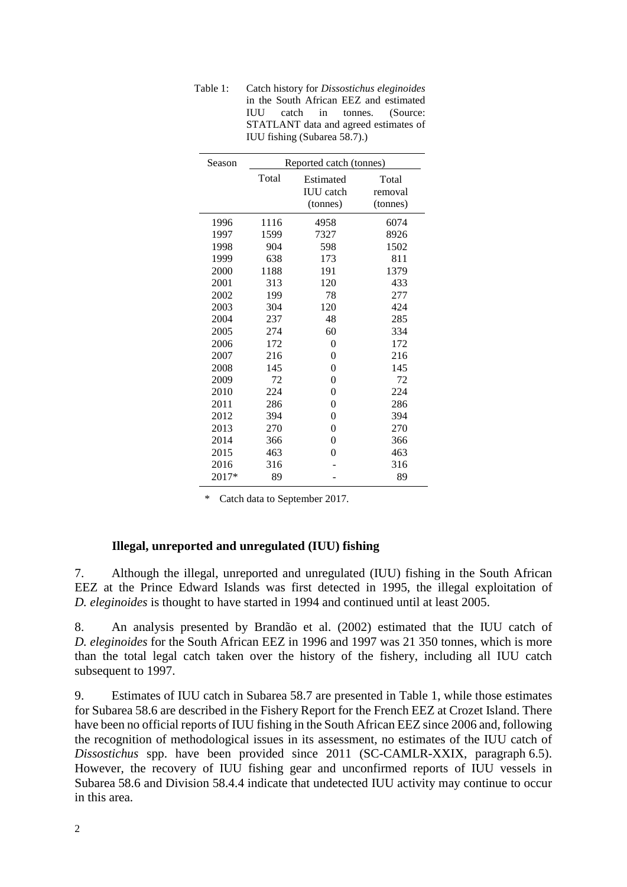| Season | Reported catch (tonnes) |                  |          |  |  |  |
|--------|-------------------------|------------------|----------|--|--|--|
|        | Total                   | Estimated        | Total    |  |  |  |
|        |                         | <b>IUU</b> catch | removal  |  |  |  |
|        |                         | (tonnes)         | (tonnes) |  |  |  |
| 1996   | 1116                    | 4958             | 6074     |  |  |  |
| 1997   | 1599                    | 7327             | 8926     |  |  |  |
| 1998   | 904                     | 598              | 1502     |  |  |  |
| 1999   | 638                     | 173              | 811      |  |  |  |
| 2000   | 1188                    | 191              | 1379     |  |  |  |
| 2001   | 313                     | 120              | 433      |  |  |  |
| 2002   | 199                     | 78               | 277      |  |  |  |
| 2003   | 304                     | 120              | 424      |  |  |  |
| 2004   | 237                     | 48               | 285      |  |  |  |
| 2005   | 274                     | 60               | 334      |  |  |  |
| 2006   | 172                     | $\theta$         | 172      |  |  |  |
| 2007   | 216                     | 0                | 216      |  |  |  |
| 2008   | 145                     | 0                | 145      |  |  |  |
| 2009   | 72                      | 0                | 72       |  |  |  |
| 2010   | 224                     | 0                | 224      |  |  |  |
| 2011   | 286                     | 0                | 286      |  |  |  |
| 2012   | 394                     | 0                | 394      |  |  |  |
| 2013   | 270                     | 0                | 270      |  |  |  |
| 2014   | 366                     | 0                | 366      |  |  |  |
| 2015   | 463                     | 0                | 463      |  |  |  |
| 2016   | 316                     |                  | 316      |  |  |  |
| 2017*  | 89                      |                  | 89       |  |  |  |

Table 1: Catch history for *Dissostichus eleginoides* in the South African EEZ and estimated<br>IUU catch in tonnes. (Source: catch in tonnes. (Source: STATLANT data and agreed estimates of IUU fishing (Subarea 58.7).)

Catch data to September 2017.

### **Illegal, unreported and unregulated (IUU) fishing**

7. Although the illegal, unreported and unregulated (IUU) fishing in the South African EEZ at the Prince Edward Islands was first detected in 1995, the illegal exploitation of *D. eleginoides* is thought to have started in 1994 and continued until at least 2005.

8. An analysis presented by Brandão et al. (2002) estimated that the IUU catch of *D. eleginoides* for the South African EEZ in 1996 and 1997 was 21 350 tonnes, which is more than the total legal catch taken over the history of the fishery, including all IUU catch subsequent to 1997.

9. Estimates of IUU catch in Subarea 58.7 are presented in Table 1, while those estimates for Subarea 58.6 are described in the Fishery Report for the French EEZ at Crozet Island. There have been no official reports of IUU fishing in the South African EEZ since 2006 and, following the recognition of methodological issues in its assessment, no estimates of the IUU catch of *Dissostichus* spp. have been provided since 2011 (SC-CAMLR-XXIX, paragraph 6.5). However, the recovery of IUU fishing gear and unconfirmed reports of IUU vessels in Subarea 58.6 and Division 58.4.4 indicate that undetected IUU activity may continue to occur in this area.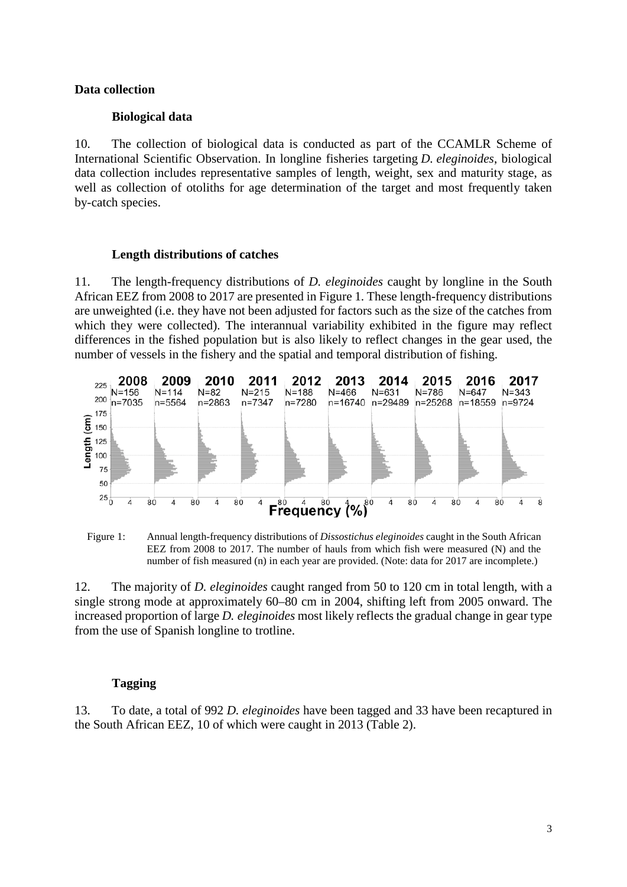### **Data collection**

#### **Biological data**

10. The collection of biological data is conducted as part of the CCAMLR Scheme of International Scientific Observation. In longline fisheries targeting *D. eleginoides*, biological data collection includes representative samples of length, weight, sex and maturity stage, as well as collection of otoliths for age determination of the target and most frequently taken by-catch species.

#### **Length distributions of catches**

11. The length-frequency distributions of *D. eleginoides* caught by longline in the South African EEZ from 2008 to 2017 are presented in Figure 1. These length-frequency distributions are unweighted (i.e. they have not been adjusted for factors such as the size of the catches from which they were collected). The interannual variability exhibited in the figure may reflect differences in the fished population but is also likely to reflect changes in the gear used, the number of vessels in the fishery and the spatial and temporal distribution of fishing.





12. The majority of *D. eleginoides* caught ranged from 50 to 120 cm in total length, with a single strong mode at approximately 60–80 cm in 2004, shifting left from 2005 onward. The increased proportion of large *D. eleginoides* most likely reflects the gradual change in gear type from the use of Spanish longline to trotline.

### **Tagging**

13. To date, a total of 992 *D. eleginoides* have been tagged and 33 have been recaptured in the South African EEZ, 10 of which were caught in 2013 (Table 2).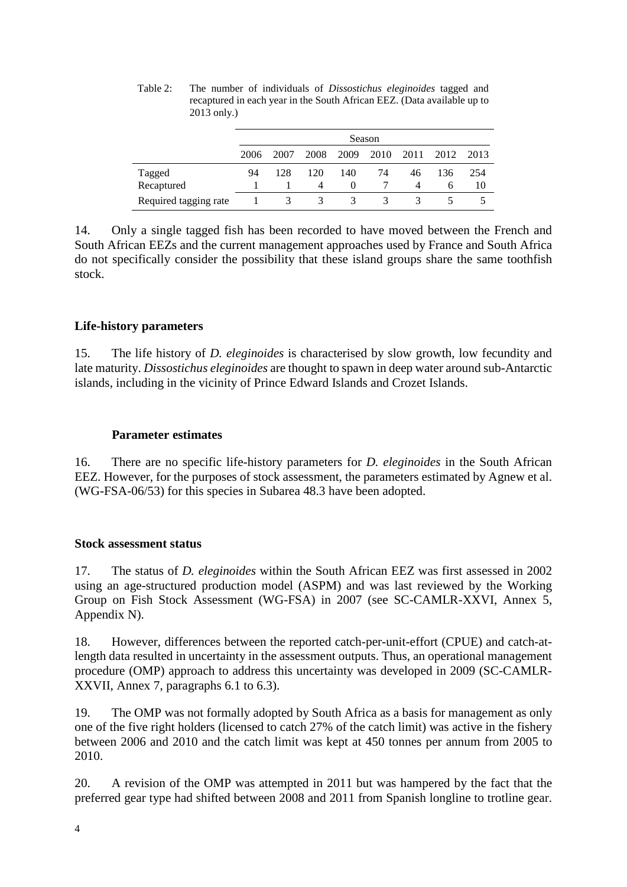|                       | Season |      |      |          |                      |      |      |      |
|-----------------------|--------|------|------|----------|----------------------|------|------|------|
|                       | 2006   | 2007 | 2008 | 2009     | - 2010               | 2011 | 2012 | 2013 |
| Tagged                | 94     | 128  | 120  | 140      | 74                   | 46   | 136  | 254  |
| Recaptured            |        |      | 4    | $^{(1)}$ |                      |      | h    | 10   |
| Required tagging rate |        | 3    | 3.   | 3        | $\blacktriangleleft$ | 3    |      |      |

Table 2: The number of individuals of *Dissostichus eleginoides* tagged and recaptured in each year in the South African EEZ. (Data available up to 2013 only.)

14. Only a single tagged fish has been recorded to have moved between the French and South African EEZs and the current management approaches used by France and South Africa do not specifically consider the possibility that these island groups share the same toothfish stock.

# **Life-history parameters**

15. The life history of *D. eleginoides* is characterised by slow growth, low fecundity and late maturity. *Dissostichus eleginoides* are thought to spawn in deep water around sub-Antarctic islands, including in the vicinity of Prince Edward Islands and Crozet Islands.

# **Parameter estimates**

16. There are no specific life-history parameters for *D. eleginoides* in the South African EEZ. However, for the purposes of stock assessment, the parameters estimated by Agnew et al. (WG-FSA-06/53) for this species in Subarea 48.3 have been adopted.

# **Stock assessment status**

17. The status of *D. eleginoides* within the South African EEZ was first assessed in 2002 using an age-structured production model (ASPM) and was last reviewed by the Working Group on Fish Stock Assessment (WG-FSA) in 2007 (see SC-CAMLR-XXVI, Annex 5, Appendix N).

18. However, differences between the reported catch-per-unit-effort (CPUE) and catch-atlength data resulted in uncertainty in the assessment outputs. Thus, an operational management procedure (OMP) approach to address this uncertainty was developed in 2009 (SC-CAMLR-XXVII, Annex 7, paragraphs 6.1 to 6.3).

19. The OMP was not formally adopted by South Africa as a basis for management as only one of the five right holders (licensed to catch 27% of the catch limit) was active in the fishery between 2006 and 2010 and the catch limit was kept at 450 tonnes per annum from 2005 to 2010.

20. A revision of the OMP was attempted in 2011 but was hampered by the fact that the preferred gear type had shifted between 2008 and 2011 from Spanish longline to trotline gear.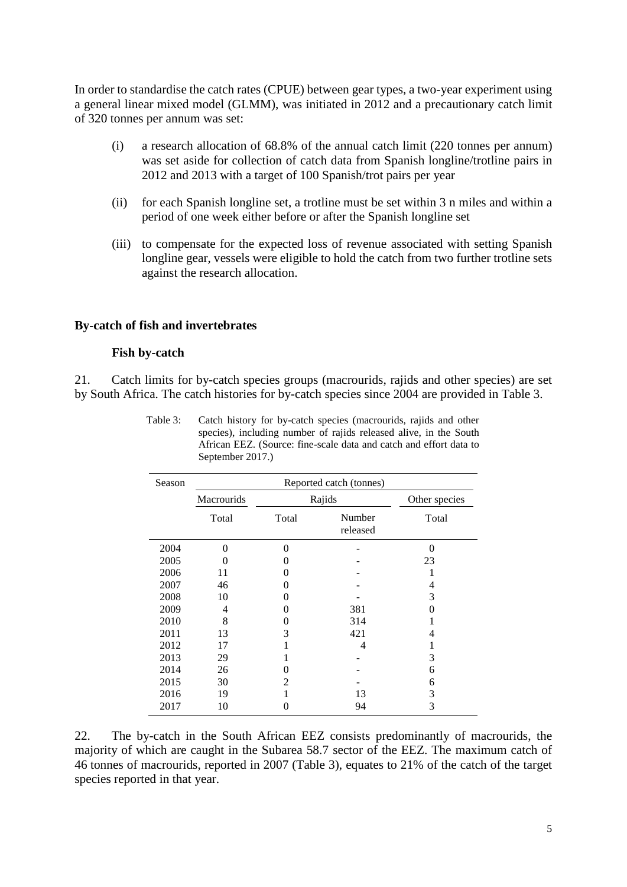In order to standardise the catch rates (CPUE) between gear types, a two-year experiment using a general linear mixed model (GLMM), was initiated in 2012 and a precautionary catch limit of 320 tonnes per annum was set:

- (i) a research allocation of 68.8% of the annual catch limit (220 tonnes per annum) was set aside for collection of catch data from Spanish longline/trotline pairs in 2012 and 2013 with a target of 100 Spanish/trot pairs per year
- (ii) for each Spanish longline set, a trotline must be set within 3 n miles and within a period of one week either before or after the Spanish longline set
- (iii) to compensate for the expected loss of revenue associated with setting Spanish longline gear, vessels were eligible to hold the catch from two further trotline sets against the research allocation.

#### **By-catch of fish and invertebrates**

#### **Fish by-catch**

21. Catch limits for by-catch species groups (macrourids, rajids and other species) are set by South Africa. The catch histories for by-catch species since 2004 are provided in Table 3.

| Season | Reported catch (tonnes) |                             |                    |               |  |  |  |
|--------|-------------------------|-----------------------------|--------------------|---------------|--|--|--|
|        | Macrourids              |                             | Rajids             | Other species |  |  |  |
|        | Total                   | Total                       | Number<br>released | Total         |  |  |  |
| 2004   | 0                       | 0                           |                    | 0             |  |  |  |
| 2005   | $\mathbf{\Omega}$       | $\theta$                    |                    | 23            |  |  |  |
| 2006   | 11                      | 0                           |                    |               |  |  |  |
| 2007   | 46                      | $\mathbf{\Omega}$           |                    | 4             |  |  |  |
| 2008   | 10                      | $\mathbf{\Omega}$           |                    | 3             |  |  |  |
| 2009   | 4                       | $\theta$                    | 381                | $\theta$      |  |  |  |
| 2010   | 8                       | $\mathbf{\Omega}$           | 314                |               |  |  |  |
| 2011   | 13                      | 3                           | 421                | 4             |  |  |  |
| 2012   | 17                      |                             | 4                  |               |  |  |  |
| 2013   | 29                      |                             |                    | 3             |  |  |  |
| 2014   | 26                      | $\mathbf{\Omega}$           |                    | 6             |  |  |  |
| 2015   | 30                      | $\mathcal{D}_{\mathcal{L}}$ |                    | 6             |  |  |  |
| 2016   | 19                      |                             | 13                 | 3             |  |  |  |
| 2017   | 10                      | 0                           | 94                 | 3             |  |  |  |

Table 3: Catch history for by-catch species (macrourids, rajids and other species), including number of rajids released alive, in the South African EEZ. (Source: fine-scale data and catch and effort data to September 2017.)

22. The by-catch in the South African EEZ consists predominantly of macrourids, the majority of which are caught in the Subarea 58.7 sector of the EEZ. The maximum catch of 46 tonnes of macrourids, reported in 2007 (Table 3), equates to 21% of the catch of the target species reported in that year.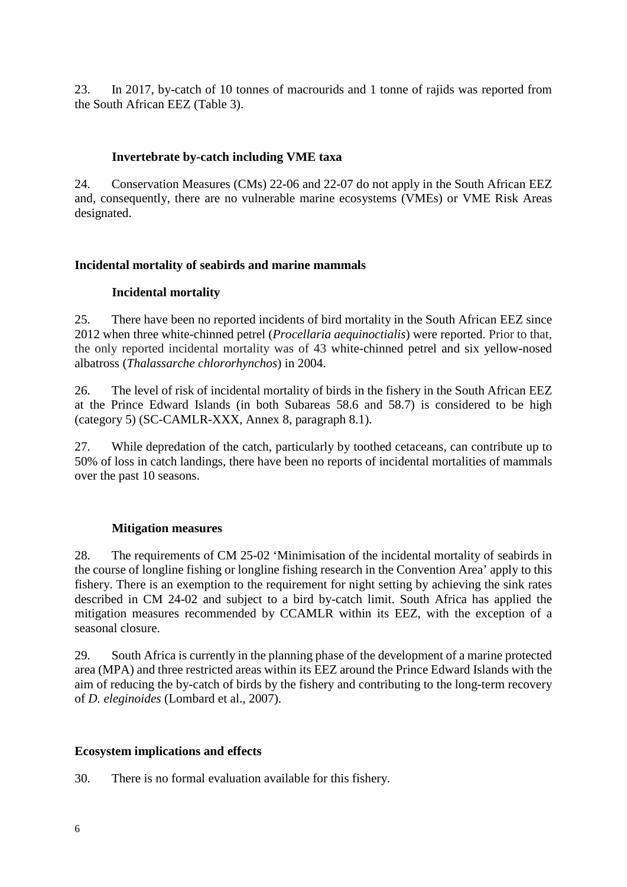23. In 2017, by-catch of 10 tonnes of macrourids and 1 tonne of rajids was reported from the South African EEZ (Table 3).

# **Invertebrate by-catch including VME taxa**

24. Conservation Measures (CMs) 22-06 and 22-07 do not apply in the South African EEZ and, consequently, there are no vulnerable marine ecosystems (VMEs) or VME Risk Areas designated.

## **Incidental mortality of seabirds and marine mammals**

## **Incidental mortality**

25. There have been no reported incidents of bird mortality in the South African EEZ since 2012 when three white-chinned petrel (*Procellaria aequinoctialis*) were reported. Prior to that, the only reported incidental mortality was of 43 white-chinned petrel and six yellow-nosed albatross (*Thalassarche chlororhynchos*) in 2004.

26. The level of risk of incidental mortality of birds in the fishery in the South African EEZ at the Prince Edward Islands (in both Subareas 58.6 and 58.7) is considered to be high (category 5) (SC-CAMLR-XXX, Annex 8, paragraph 8.1).

27. While depredation of the catch, particularly by toothed cetaceans, can contribute up to 50% of loss in catch landings, there have been no reports of incidental mortalities of mammals over the past 10 seasons.

### **Mitigation measures**

28. The requirements of CM 25-02 'Minimisation of the incidental mortality of seabirds in the course of longline fishing or longline fishing research in the Convention Area' apply to this fishery. There is an exemption to the requirement for night setting by achieving the sink rates described in CM 24-02 and subject to a bird by-catch limit. South Africa has applied the mitigation measures recommended by CCAMLR within its EEZ, with the exception of a seasonal closure.

29. South Africa is currently in the planning phase of the development of a marine protected area (MPA) and three restricted areas within its EEZ around the Prince Edward Islands with the aim of reducing the by-catch of birds by the fishery and contributing to the long-term recovery of *D. eleginoides* (Lombard et al., 2007).

### **Ecosystem implications and effects**

30. There is no formal evaluation available for this fishery.